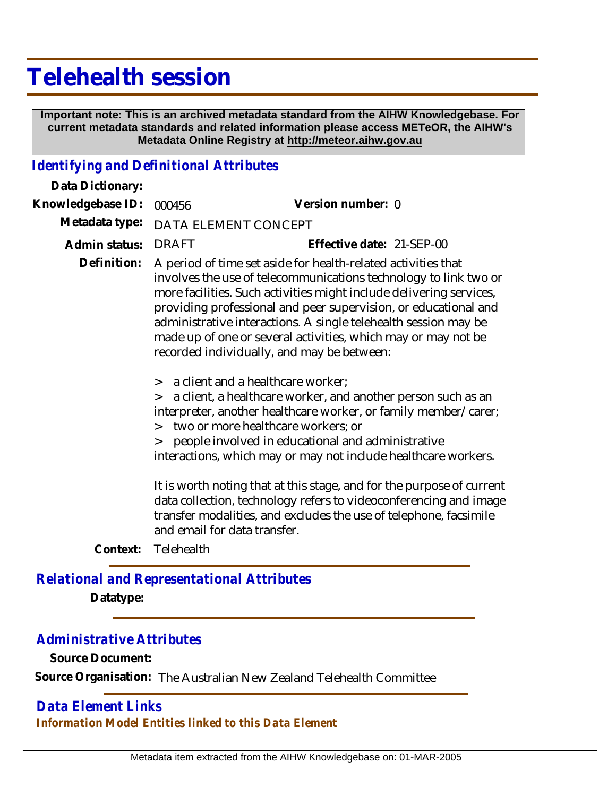## **Telehealth session**

 **Important note: This is an archived metadata standard from the AIHW Knowledgebase. For current metadata standards and related information please access METeOR, the AIHW's Metadata Online Registry at http://meteor.aihw.gov.au**

## *Identifying and Definitional Attributes*

| Data Dictionary:  |                                                                                                                                                                                                                                                                                                                                                                                                                                                               |                                                                                                                                                                                                                                                                                                                                   |
|-------------------|---------------------------------------------------------------------------------------------------------------------------------------------------------------------------------------------------------------------------------------------------------------------------------------------------------------------------------------------------------------------------------------------------------------------------------------------------------------|-----------------------------------------------------------------------------------------------------------------------------------------------------------------------------------------------------------------------------------------------------------------------------------------------------------------------------------|
| Knowledgebase ID: | 000456                                                                                                                                                                                                                                                                                                                                                                                                                                                        | Version number: 0                                                                                                                                                                                                                                                                                                                 |
| Metadata type:    | DATA ELEMENT CONCEPT                                                                                                                                                                                                                                                                                                                                                                                                                                          |                                                                                                                                                                                                                                                                                                                                   |
| Admin status:     | <b>DRAFT</b>                                                                                                                                                                                                                                                                                                                                                                                                                                                  | Effective date: 21-SEP-00                                                                                                                                                                                                                                                                                                         |
| Definition:       | A period of time set aside for health-related activities that<br>involves the use of telecommunications technology to link two or<br>more facilities. Such activities might include delivering services,<br>providing professional and peer supervision, or educational and<br>administrative interactions. A single telehealth session may be<br>made up of one or several activities, which may or may not be<br>recorded individually, and may be between: |                                                                                                                                                                                                                                                                                                                                   |
|                   | $\geq$<br>$\geq$<br>$\geq$<br>$\geq$                                                                                                                                                                                                                                                                                                                                                                                                                          | a client and a healthcare worker;<br>a client, a healthcare worker, and another person such as an<br>interpreter, another healthcare worker, or family member/carer;<br>two or more healthcare workers; or<br>people involved in educational and administrative<br>interactions, which may or may not include healthcare workers. |
|                   | It is worth noting that at this stage, and for the purpose of current<br>data collection, technology refers to videoconferencing and image<br>transfer modalities, and excludes the use of telephone, facsimile<br>and email for data transfer.                                                                                                                                                                                                               |                                                                                                                                                                                                                                                                                                                                   |
| Context:          | Telehealth                                                                                                                                                                                                                                                                                                                                                                                                                                                    |                                                                                                                                                                                                                                                                                                                                   |

*Relational and Representational Attributes* **Datatype:**

## *Administrative Attributes*

**Source Document:**

**Source Organisation:** The Australian New Zealand Telehealth Committee

*Data Element Links Information Model Entities linked to this Data Element*